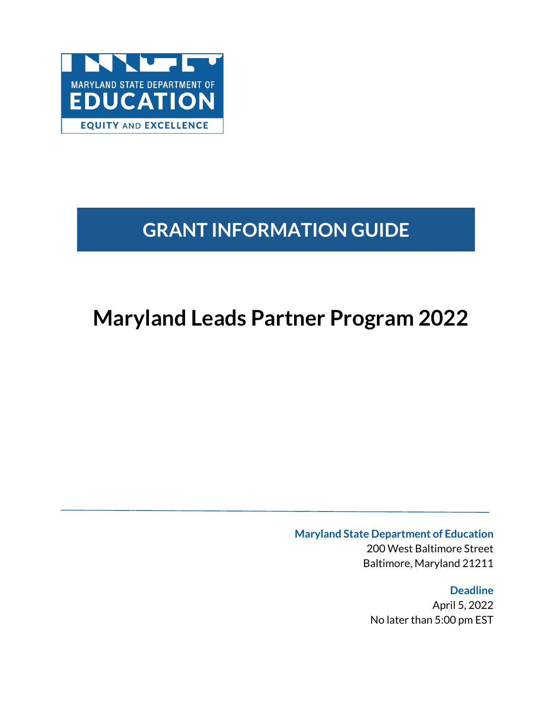

# **GRANT INFORMATION GUIDE**

# **Maryland Leads Partner Program 2022**

**Maryland State Department of Education**

200 West Baltimore Street Baltimore, Maryland 21211

**Deadline** April 5, 2022 No later than 5:00 pm EST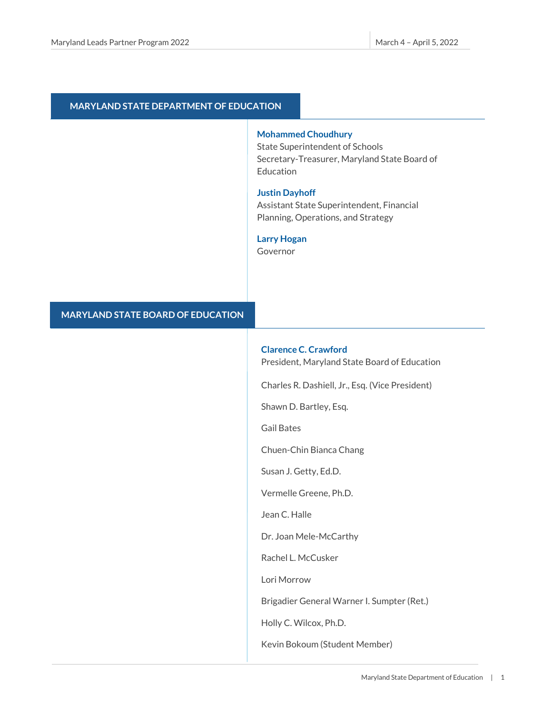#### **MARYLAND STATE DEPARTMENT OF EDUCATION**

#### **Mohammed Choudhury**

State Superintendent of Schools Secretary-Treasurer, Maryland State Board of Education

#### **Justin Dayhoff**

Assistant State Superintendent, Financial Planning, Operations, and Strategy

#### **Larry Hogan**

Governor

#### **MARYLAND STATE BOARD OF EDUCATION**

#### **Clarence C. Crawford**

President, Maryland State Board of Education

Charles R. Dashiell, Jr., Esq. (Vice President)

Shawn D. Bartley, Esq.

Gail Bates

Chuen-Chin Bianca Chang

Susan J. Getty, Ed.D.

Vermelle Greene, Ph.D.

Jean C. Halle

Dr. Joan Mele-McCarthy

Rachel L. McCusker

Lori Morrow

Brigadier General Warner I. Sumpter (Ret.)

Holly C. Wilcox, Ph.D.

Kevin Bokoum (Student Member)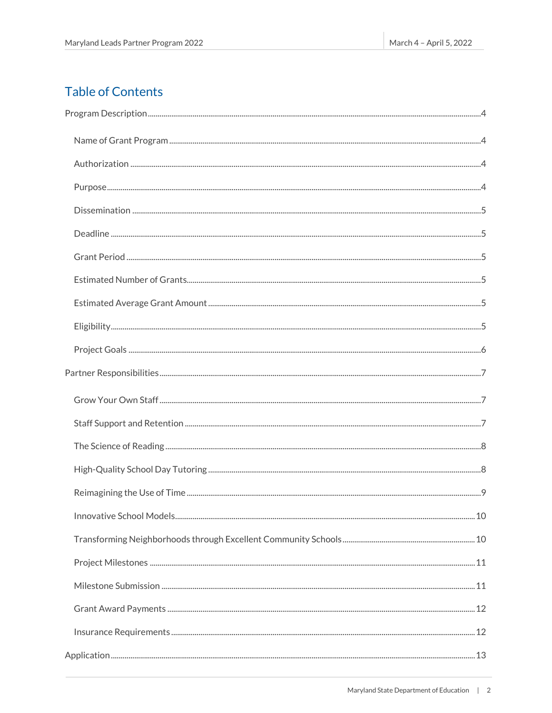## **Table of Contents**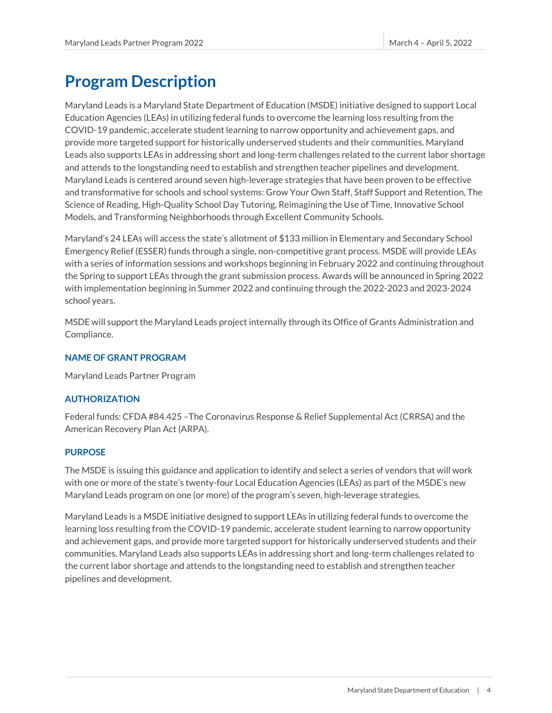## <span id="page-4-0"></span>**Program Description**

Maryland Leads is a Maryland State Department of Education (MSDE) initiative designed to support Local Education Agencies (LEAs) in utilizing federal funds to overcome the learning loss resulting from the COVID-19 pandemic, accelerate student learning to narrow opportunity and achievement gaps, and provide more targeted support for historically underserved students and their communities. Maryland Leads also supports LEAs in addressing short and long-term challenges related to the current labor shortage and attends to the longstanding need to establish and strengthen teacher pipelines and development. Maryland Leads is centered around seven high-leverage strategies that have been proven to be effective and transformative for schools and school systems: Grow Your Own Staff, Staff Support and Retention, The Science of Reading, High-Quality School Day Tutoring, Reimagining the Use of Time, Innovative School Models, and Transforming Neighborhoods through Excellent Community Schools.

Maryland's 24 LEAs will access the state's allotment of \$133 million in Elementary and Secondary School Emergency Relief (ESSER) funds through a single, non-competitive grant process. MSDE will provide LEAs with a series of information sessions and workshops beginning in February 2022 and continuing throughout the Spring to support LEAs through the grant submission process. Awards will be announced in Spring 2022 with implementation beginning in Summer 2022 and continuing through the 2022-2023 and 2023-2024 school years.

MSDE will support the Maryland Leads project internally through its Office of Grants Administration and Compliance.

#### <span id="page-4-1"></span>**NAME OF GRANT PROGRAM**

Maryland Leads Partner Program

#### <span id="page-4-2"></span>**AUTHORIZATION**

Federal funds: CFDA #84.425 –The Coronavirus Response & Relief Supplemental Act (CRRSA) and the American Recovery Plan Act (ARPA).

#### <span id="page-4-3"></span>**PURPOSE**

The MSDE is issuing this guidance and application to identify and select a series of vendors that will work with one or more of the state's twenty-four Local Education Agencies (LEAs) as part of the MSDE's new Maryland Leads program on one (or more) of the program's seven, high-leverage strategies.

Maryland Leads is a MSDE initiative designed to support LEAs in utilizing federal funds to overcome the learning loss resulting from the COVID-19 pandemic, accelerate student learning to narrow opportunity and achievement gaps, and provide more targeted support for historically underserved students and their communities. Maryland Leads also supports LEAs in addressing short and long-term challenges related to the current labor shortage and attends to the longstanding need to establish and strengthen teacher pipelines and development.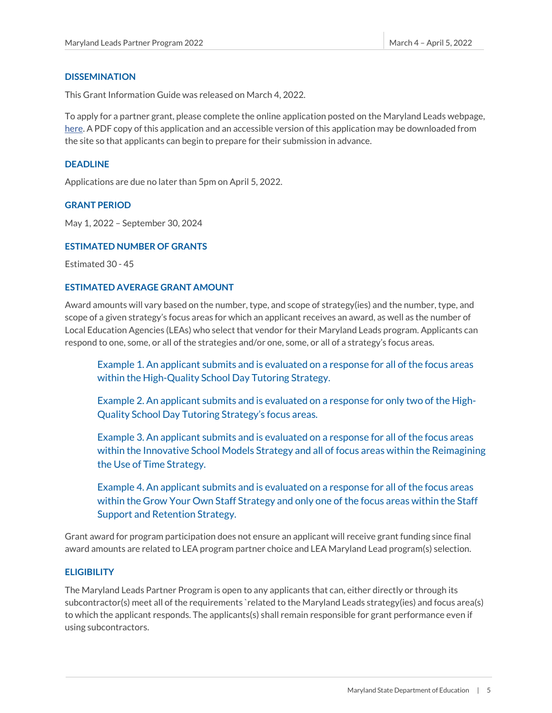#### <span id="page-5-0"></span>**DISSEMINATION**

This Grant Information Guide was released on March 4, 2022.

To apply for a partner grant, please complete the online application posted on the Maryland Leads webpage, here. A PDF copy of this application and an accessible version of this application may be downloaded from the site so that applicants can begin to prepare for their submission in advance.

#### <span id="page-5-1"></span>**DEADLINE**

Applications are due no later than 5pm on April 5, 2022.

#### <span id="page-5-2"></span>**GRANT PERIOD**

May 1, 2022 – September 30, 2024

#### <span id="page-5-3"></span>**ESTIMATED NUMBER OF GRANTS**

Estimated 30 - 45

#### <span id="page-5-4"></span>**ESTIMATED AVERAGE GRANT AMOUNT**

Award amounts will vary based on the number, type, and scope of strategy(ies) and the number, type, and scope of a given strategy's focus areas for which an applicant receives an award, as well as the number of Local Education Agencies (LEAs) who select that vendor for their Maryland Leads program. Applicants can respond to one, some, or all of the strategies and/or one, some, or all of a strategy's focus areas.

Example 1. An applicant submits and is evaluated on a response for all of the focus areas within the High-Quality School Day Tutoring Strategy.

Example 2. An applicant submits and is evaluated on a response for only two of the High-Quality School Day Tutoring Strategy's focus areas.

Example 3. An applicant submits and is evaluated on a response for all of the focus areas within the Innovative School Models Strategy and all of focus areas within the Reimagining the Use of Time Strategy.

Example 4. An applicant submits and is evaluated on a response for all of the focus areas within the Grow Your Own Staff Strategy and only one of the focus areas within the Staff Support and Retention Strategy.

Grant award for program participation does not ensure an applicant will receive grant funding since final award amounts are related to LEA program partner choice and LEA Maryland Lead program(s) selection.

#### <span id="page-5-5"></span>**ELIGIBILITY**

The Maryland Leads Partner Program is open to any applicants that can, either directly or through its subcontractor(s) meet all of the requirements `related to the Maryland Leads strategy(ies) and focus area(s) to which the applicant responds. The applicants(s) shall remain responsible for grant performance even if using subcontractors.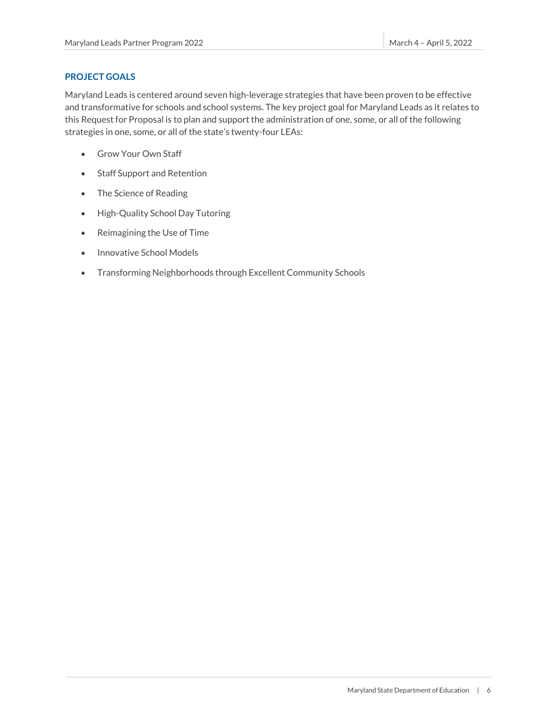#### <span id="page-6-0"></span>**PROJECT GOALS**

Maryland Leads is centered around seven high-leverage strategies that have been proven to be effective and transformative for schools and school systems. The key project goal for Maryland Leads as it relates to this Request for Proposal is to plan and support the administration of one, some, or all of the following strategies in one, some, or all of the state's twenty-four LEAs:

- Grow Your Own Staff
- Staff Support and Retention
- The Science of Reading
- High-Quality School Day Tutoring
- Reimagining the Use of Time
- Innovative School Models
- Transforming Neighborhoods through Excellent Community Schools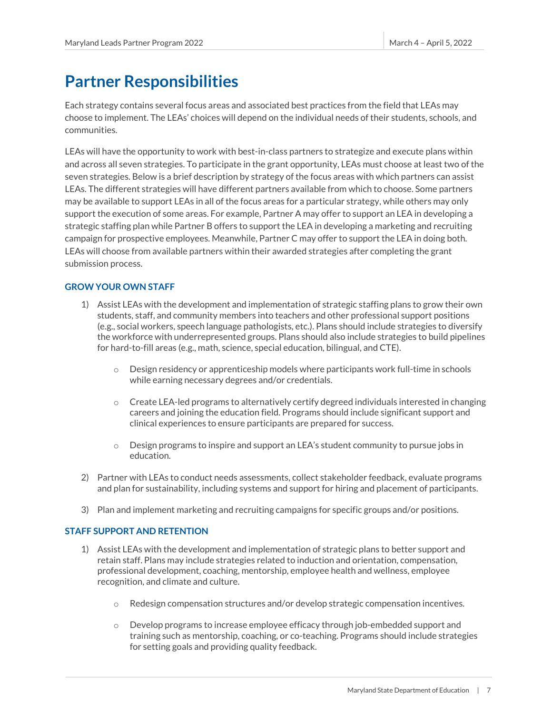## <span id="page-7-0"></span>**Partner Responsibilities**

Each strategy contains several focus areas and associated best practices from the field that LEAs may choose to implement. The LEAs' choices will depend on the individual needs of their students, schools, and communities.

LEAs will have the opportunity to work with best-in-class partners to strategize and execute plans within and across all seven strategies. To participate in the grant opportunity, LEAs must choose at least two of the seven strategies. Below is a brief description by strategy of the focus areas with which partners can assist LEAs. The different strategies will have different partners available from which to choose. Some partners may be available to support LEAs in all of the focus areas for a particular strategy, while others may only support the execution of some areas. For example, Partner A may offer to support an LEA in developing a strategic staffing plan while Partner B offers to support the LEA in developing a marketing and recruiting campaign for prospective employees. Meanwhile, Partner C may offer to support the LEA in doing both. LEAs will choose from available partners within their awarded strategies after completing the grant submission process.

#### <span id="page-7-1"></span>**GROW YOUR OWN STAFF**

- 1) Assist LEAs with the development and implementation of strategic staffing plans to grow their own students, staff, and community members into teachers and other professional support positions (e.g., social workers, speech language pathologists, etc.). Plans should include strategies to diversify the workforce with underrepresented groups. Plans should also include strategies to build pipelines for hard-to-fill areas (e.g., math, science, special education, bilingual, and CTE).
	- $\circ$  Design residency or apprenticeship models where participants work full-time in schools while earning necessary degrees and/or credentials.
	- $\circ$  Create LEA-led programs to alternatively certify degreed individuals interested in changing careers and joining the education field. Programs should include significant support and clinical experiences to ensure participants are prepared for success.
	- o Design programs to inspire and support an LEA's student community to pursue jobs in education.
- 2) Partner with LEAs to conduct needs assessments, collect stakeholder feedback, evaluate programs and plan for sustainability, including systems and support for hiring and placement of participants.
- 3) Plan and implement marketing and recruiting campaigns for specific groups and/or positions.

#### <span id="page-7-2"></span>**STAFF SUPPORT AND RETENTION**

- 1) Assist LEAs with the development and implementation of strategic plans to better support and retain staff. Plans may include strategies related to induction and orientation, compensation, professional development, coaching, mentorship, employee health and wellness, employee recognition, and climate and culture.
	- $\circ$  Redesign compensation structures and/or develop strategic compensation incentives.
	- $\circ$  Develop programs to increase employee efficacy through job-embedded support and training such as mentorship, coaching, or co-teaching. Programs should include strategies for setting goals and providing quality feedback.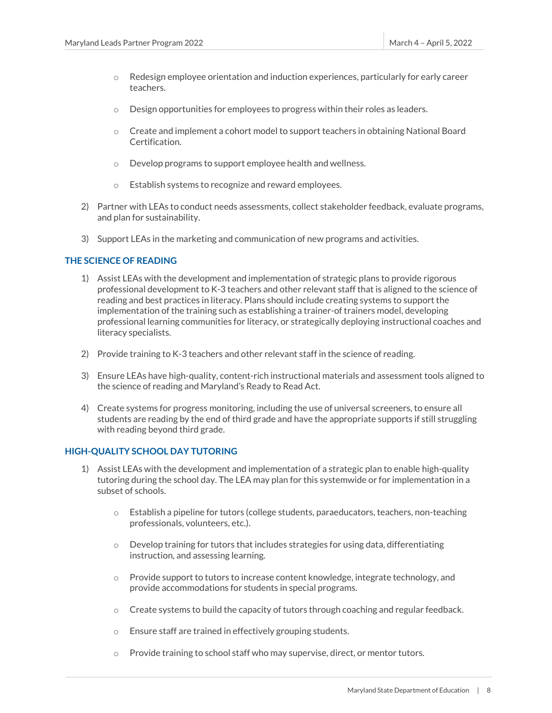- $\circ$  Redesign employee orientation and induction experiences, particularly for early career teachers.
- $\circ$  Design opportunities for employees to progress within their roles as leaders.
- $\circ$  Create and implement a cohort model to support teachers in obtaining National Board Certification.
- o Develop programs to support employee health and wellness.
- o Establish systems to recognize and reward employees.
- 2) Partner with LEAs to conduct needs assessments, collect stakeholder feedback, evaluate programs, and plan for sustainability.
- 3) Support LEAs in the marketing and communication of new programs and activities.

#### <span id="page-8-0"></span>**THE SCIENCE OF READING**

- 1) Assist LEAs with the development and implementation of strategic plans to provide rigorous professional development to K-3 teachers and other relevant staff that is aligned to the science of reading and best practices in literacy. Plans should include creating systems to support the implementation of the training such as establishing a trainer-of trainers model, developing professional learning communities for literacy, or strategically deploying instructional coaches and literacy specialists.
- 2) Provide training to K-3 teachers and other relevant staff in the science of reading.
- 3) Ensure LEAs have high-quality, content-rich instructional materials and assessment tools aligned to the science of reading and Maryland's Ready to Read Act.
- 4) Create systems for progress monitoring, including the use of universal screeners, to ensure all students are reading by the end of third grade and have the appropriate supports if still struggling with reading beyond third grade.

#### <span id="page-8-1"></span>**HIGH-QUALITY SCHOOL DAY TUTORING**

- 1) Assist LEAs with the development and implementation of a strategic plan to enable high-quality tutoring during the school day. The LEA may plan for this systemwide or for implementation in a subset of schools.
	- $\circ$  Establish a pipeline for tutors (college students, paraeducators, teachers, non-teaching professionals, volunteers, etc.).
	- $\circ$  Develop training for tutors that includes strategies for using data, differentiating instruction, and assessing learning.
	- $\circ$  Provide support to tutors to increase content knowledge, integrate technology, and provide accommodations for students in special programs.
	- $\circ$  Create systems to build the capacity of tutors through coaching and regular feedback.
	- o Ensure staff are trained in effectively grouping students.
	- $\circ$  Provide training to school staff who may supervise, direct, or mentor tutors.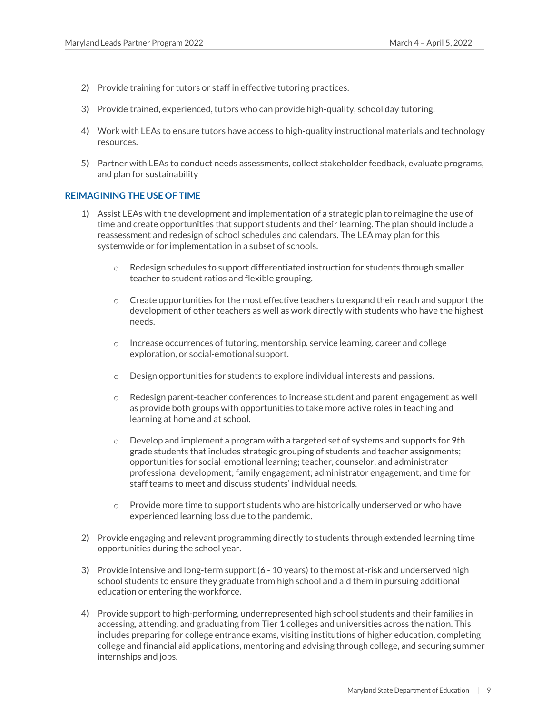- 2) Provide training for tutors or staff in effective tutoring practices.
- 3) Provide trained, experienced, tutors who can provide high-quality, school day tutoring.
- 4) Work with LEAs to ensure tutors have access to high-quality instructional materials and technology resources.
- 5) Partner with LEAs to conduct needs assessments, collect stakeholder feedback, evaluate programs, and plan for sustainability

#### <span id="page-9-0"></span>**REIMAGINING THE USE OF TIME**

- 1) Assist LEAs with the development and implementation of a strategic plan to reimagine the use of time and create opportunities that support students and their learning. The plan should include a reassessment and redesign of school schedules and calendars. The LEA may plan for this systemwide or for implementation in a subset of schools.
	- $\circ$  Redesign schedules to support differentiated instruction for students through smaller teacher to student ratios and flexible grouping.
	- $\circ$  Create opportunities for the most effective teachers to expand their reach and support the development of other teachers as well as work directly with students who have the highest needs.
	- $\circ$  Increase occurrences of tutoring, mentorship, service learning, career and college exploration, or social-emotional support.
	- o Design opportunities for students to explore individual interests and passions.
	- $\circ$  Redesign parent-teacher conferences to increase student and parent engagement as well as provide both groups with opportunities to take more active roles in teaching and learning at home and at school.
	- $\circ$  Develop and implement a program with a targeted set of systems and supports for 9th grade students that includes strategic grouping of students and teacher assignments; opportunities for social-emotional learning; teacher, counselor, and administrator professional development; family engagement; administrator engagement; and time for staff teams to meet and discuss students' individual needs.
	- $\circ$  Provide more time to support students who are historically underserved or who have experienced learning loss due to the pandemic.
- 2) Provide engaging and relevant programming directly to students through extended learning time opportunities during the school year.
- 3) Provide intensive and long-term support (6 10 years) to the most at-risk and underserved high school students to ensure they graduate from high school and aid them in pursuing additional education or entering the workforce.
- 4) Provide support to high-performing, underrepresented high school students and their families in accessing, attending, and graduating from Tier 1 colleges and universities across the nation. This includes preparing for college entrance exams, visiting institutions of higher education, completing college and financial aid applications, mentoring and advising through college, and securing summer internships and jobs.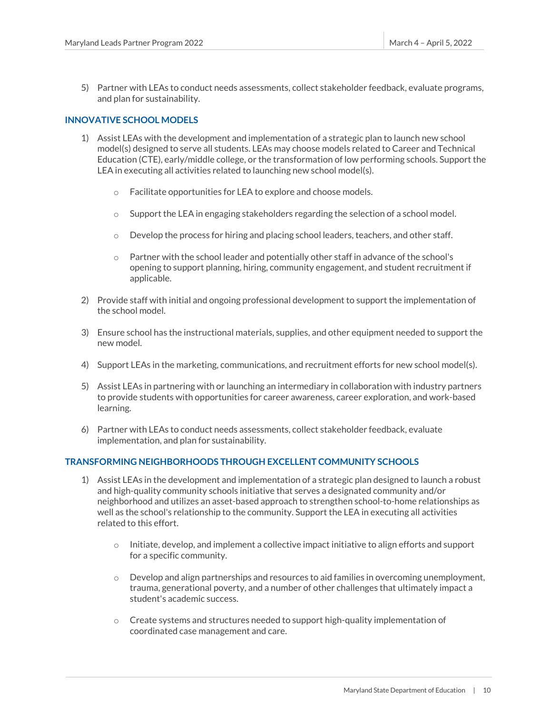5) Partner with LEAs to conduct needs assessments, collect stakeholder feedback, evaluate programs, and plan for sustainability.

#### <span id="page-10-0"></span>**INNOVATIVE SCHOOL MODELS**

- 1) Assist LEAs with the development and implementation of a strategic plan to launch new school model(s) designed to serve all students. LEAs may choose models related to Career and Technical Education (CTE), early/middle college, or the transformation of low performing schools. Support the LEA in executing all activities related to launching new school model(s).
	- o Facilitate opportunities for LEA to explore and choose models.
	- $\circ$  Support the LEA in engaging stakeholders regarding the selection of a school model.
	- $\circ$  Develop the process for hiring and placing school leaders, teachers, and other staff.
	- $\circ$  Partner with the school leader and potentially other staff in advance of the school's opening to support planning, hiring, community engagement, and student recruitment if applicable.
- 2) Provide staff with initial and ongoing professional development to support the implementation of the school model.
- 3) Ensure school has the instructional materials, supplies, and other equipment needed to support the new model.
- 4) Support LEAs in the marketing, communications, and recruitment efforts for new school model(s).
- 5) Assist LEAs in partnering with or launching an intermediary in collaboration with industry partners to provide students with opportunities for career awareness, career exploration, and work-based learning.
- 6) Partner with LEAs to conduct needs assessments, collect stakeholder feedback, evaluate implementation, and plan for sustainability.

#### <span id="page-10-1"></span>**TRANSFORMING NEIGHBORHOODS THROUGH EXCELLENT COMMUNITY SCHOOLS**

- 1) Assist LEAs in the development and implementation of a strategic plan designed to launch a robust and high-quality community schools initiative that serves a designated community and/or neighborhood and utilizes an asset-based approach to strengthen school-to-home relationships as well as the school's relationship to the community. Support the LEA in executing all activities related to this effort.
	- $\circ$  Initiate, develop, and implement a collective impact initiative to align efforts and support for a specific community.
	- $\circ$  Develop and align partnerships and resources to aid families in overcoming unemployment, trauma, generational poverty, and a number of other challenges that ultimately impact a student's academic success.
	- $\circ$  Create systems and structures needed to support high-quality implementation of coordinated case management and care.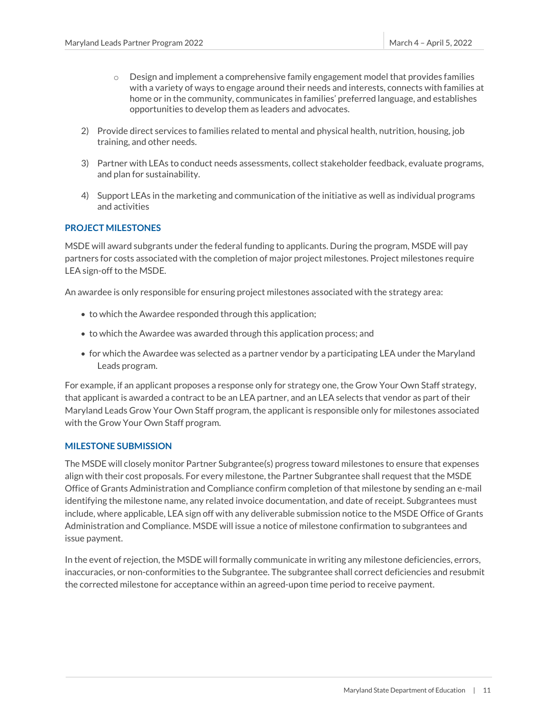- $\circ$  Design and implement a comprehensive family engagement model that provides families with a variety of ways to engage around their needs and interests, connects with families at home or in the community, communicates in families' preferred language, and establishes opportunities to develop them as leaders and advocates.
- 2) Provide direct services to families related to mental and physical health, nutrition, housing, job training, and other needs.
- 3) Partner with LEAs to conduct needs assessments, collect stakeholder feedback, evaluate programs, and plan for sustainability.
- 4) Support LEAs in the marketing and communication of the initiative as well as individual programs and activities

#### <span id="page-11-0"></span>**PROJECT MILESTONES**

MSDE will award subgrants under the federal funding to applicants. During the program, MSDE will pay partners for costs associated with the completion of major project milestones. Project milestones require LEA sign-off to the MSDE.

An awardee is only responsible for ensuring project milestones associated with the strategy area:

- to which the Awardee responded through this application;
- to which the Awardee was awarded through this application process; and
- for which the Awardee was selected as a partner vendor by a participating LEA under the Maryland Leads program.

For example, if an applicant proposes a response only for strategy one, the Grow Your Own Staff strategy, that applicant is awarded a contract to be an LEA partner, and an LEA selects that vendor as part of their Maryland Leads Grow Your Own Staff program, the applicant is responsible only for milestones associated with the Grow Your Own Staff program.

#### <span id="page-11-1"></span>**MILESTONE SUBMISSION**

The MSDE will closely monitor Partner Subgrantee(s) progress toward milestones to ensure that expenses align with their cost proposals. For every milestone, the Partner Subgrantee shall request that the MSDE Office of Grants Administration and Compliance confirm completion of that milestone by sending an e-mail identifying the milestone name, any related invoice documentation, and date of receipt. Subgrantees must include, where applicable, LEA sign off with any deliverable submission notice to the MSDE Office of Grants Administration and Compliance. MSDE will issue a notice of milestone confirmation to subgrantees and issue payment.

In the event of rejection, the MSDE will formally communicate in writing any milestone deficiencies, errors, inaccuracies, or non-conformities to the Subgrantee. The subgrantee shall correct deficiencies and resubmit the corrected milestone for acceptance within an agreed-upon time period to receive payment.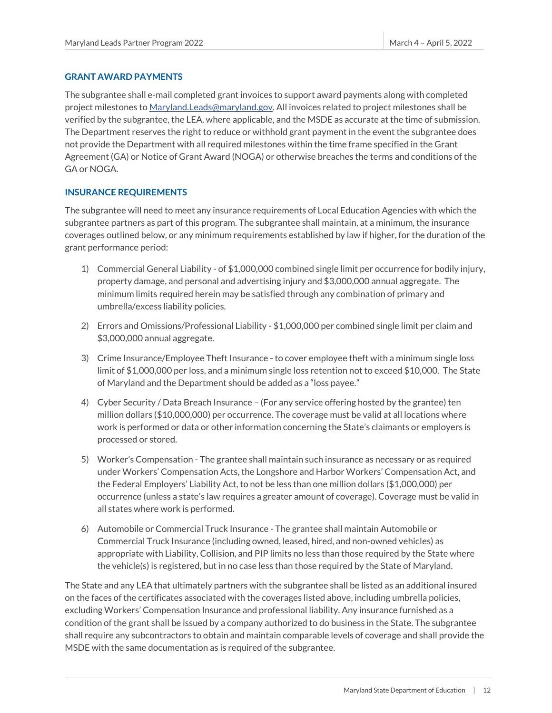#### <span id="page-12-0"></span>**GRANT AWARD PAYMENTS**

The subgrantee shall e-mail completed grant invoices to support award payments along with completed project milestones t[o Maryland.Leads@maryland.gov.](mailto:Maryland.Leads@maryland.gov) All invoices related to project milestones shall be verified by the subgrantee, the LEA, where applicable, and the MSDE as accurate at the time of submission. The Department reserves the right to reduce or withhold grant payment in the event the subgrantee does not provide the Department with all required milestones within the time frame specified in the Grant Agreement (GA) or Notice of Grant Award (NOGA) or otherwise breaches the terms and conditions of the GA or NOGA.

#### <span id="page-12-1"></span>**INSURANCE REQUIREMENTS**

The subgrantee will need to meet any insurance requirements of Local Education Agencies with which the subgrantee partners as part of this program. The subgrantee shall maintain, at a minimum, the insurance coverages outlined below, or any minimum requirements established by law if higher, for the duration of the grant performance period:

- 1) Commercial General Liability of \$1,000,000 combined single limit per occurrence for bodily injury, property damage, and personal and advertising injury and \$3,000,000 annual aggregate. The minimum limits required herein may be satisfied through any combination of primary and umbrella/excess liability policies.
- 2) Errors and Omissions/Professional Liability \$1,000,000 per combined single limit per claim and \$3,000,000 annual aggregate.
- 3) Crime Insurance/Employee Theft Insurance to cover employee theft with a minimum single loss limit of \$1,000,000 per loss, and a minimum single loss retention not to exceed \$10,000. The State of Maryland and the Department should be added as a "loss payee."
- 4) Cyber Security / Data Breach Insurance (For any service offering hosted by the grantee) ten million dollars (\$10,000,000) per occurrence. The coverage must be valid at all locations where work is performed or data or other information concerning the State's claimants or employers is processed or stored.
- 5) Worker's Compensation The grantee shall maintain such insurance as necessary or as required under Workers' Compensation Acts, the Longshore and Harbor Workers' Compensation Act, and the Federal Employers' Liability Act, to not be less than one million dollars (\$1,000,000) per occurrence (unless a state's law requires a greater amount of coverage). Coverage must be valid in all states where work is performed.
- 6) Automobile or Commercial Truck Insurance The grantee shall maintain Automobile or Commercial Truck Insurance (including owned, leased, hired, and non-owned vehicles) as appropriate with Liability, Collision, and PIP limits no less than those required by the State where the vehicle(s) is registered, but in no case less than those required by the State of Maryland.

The State and any LEA that ultimately partners with the subgrantee shall be listed as an additional insured on the faces of the certificates associated with the coverages listed above, including umbrella policies, excluding Workers' Compensation Insurance and professional liability. Any insurance furnished as a condition of the grant shall be issued by a company authorized to do business in the State. The subgrantee shall require any subcontractors to obtain and maintain comparable levels of coverage and shall provide the MSDE with the same documentation as is required of the subgrantee.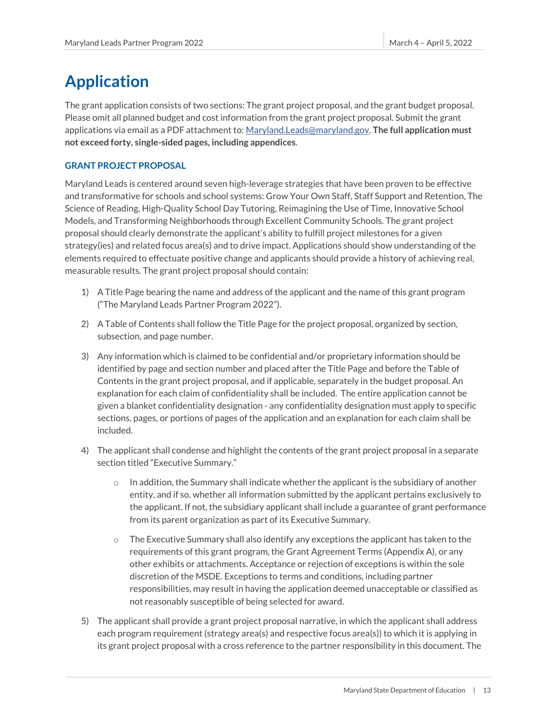## <span id="page-13-0"></span>**Application**

The grant application consists of two sections: The grant project proposal, and the grant budget proposal. Please omit all planned budget and cost information from the grant project proposal. Submit the grant applications via email as a PDF attachment to[: Maryland.Leads@maryland.gov.](mailto:Maryland.Leads@maryland.gov) **The full application must not exceed forty, single-sided pages, including appendices**.

#### <span id="page-13-1"></span>**GRANT PROJECT PROPOSAL**

Maryland Leads is centered around seven high-leverage strategies that have been proven to be effective and transformative for schools and school systems: Grow Your Own Staff, Staff Support and Retention, The Science of Reading, High-Quality School Day Tutoring, Reimagining the Use of Time, Innovative School Models, and Transforming Neighborhoods through Excellent Community Schools. The grant project proposal should clearly demonstrate the applicant's ability to fulfill project milestones for a given strategy(ies) and related focus area(s) and to drive impact. Applications should show understanding of the elements required to effectuate positive change and applicants should provide a history of achieving real, measurable results. The grant project proposal should contain:

- 1) A Title Page bearing the name and address of the applicant and the name of this grant program ("The Maryland Leads Partner Program 2022").
- 2) A Table of Contents shall follow the Title Page for the project proposal, organized by section, subsection, and page number.
- 3) Any information which is claimed to be confidential and/or proprietary information should be identified by page and section number and placed after the Title Page and before the Table of Contents in the grant project proposal, and if applicable, separately in the budget proposal. An explanation for each claim of confidentiality shall be included. The entire application cannot be given a blanket confidentiality designation - any confidentiality designation must apply to specific sections, pages, or portions of pages of the application and an explanation for each claim shall be included.
- 4) The applicant shall condense and highlight the contents of the grant project proposal in a separate section titled "Executive Summary."
	- $\circ$  In addition, the Summary shall indicate whether the applicant is the subsidiary of another entity, and if so, whether all information submitted by the applicant pertains exclusively to the applicant. If not, the subsidiary applicant shall include a guarantee of grant performance from its parent organization as part of its Executive Summary.
	- $\circ$  The Executive Summary shall also identify any exceptions the applicant has taken to the requirements of this grant program, the Grant Agreement Terms (Appendix A), or any other exhibits or attachments. Acceptance or rejection of exceptions is within the sole discretion of the MSDE. Exceptions to terms and conditions, including partner responsibilities, may result in having the application deemed unacceptable or classified as not reasonably susceptible of being selected for award.
- 5) The applicant shall provide a grant project proposal narrative, in which the applicant shall address each program requirement (strategy area(s) and respective focus area(s)) to which it is applying in its grant project proposal with a cross reference to the partner responsibility in this document. The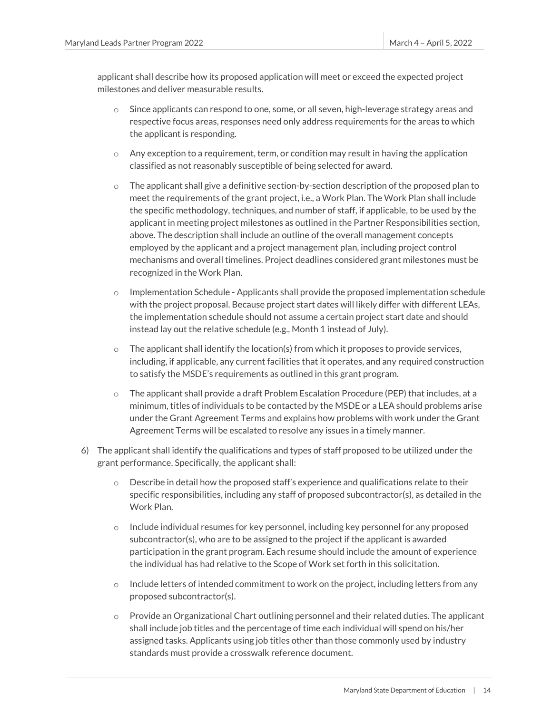applicant shall describe how its proposed application will meet or exceed the expected project milestones and deliver measurable results.

- o Since applicants can respond to one, some, or all seven, high-leverage strategy areas and respective focus areas, responses need only address requirements for the areas to which the applicant is responding.
- $\circ$  Any exception to a requirement, term, or condition may result in having the application classified as not reasonably susceptible of being selected for award.
- $\circ$  The applicant shall give a definitive section-by-section description of the proposed plan to meet the requirements of the grant project, i.e., a Work Plan. The Work Plan shall include the specific methodology, techniques, and number of staff, if applicable, to be used by the applicant in meeting project milestones as outlined in the Partner Responsibilities section, above. The description shall include an outline of the overall management concepts employed by the applicant and a project management plan, including project control mechanisms and overall timelines. Project deadlines considered grant milestones must be recognized in the Work Plan.
- $\circ$  Implementation Schedule Applicants shall provide the proposed implementation schedule with the project proposal. Because project start dates will likely differ with different LEAs, the implementation schedule should not assume a certain project start date and should instead lay out the relative schedule (e.g., Month 1 instead of July).
- $\circ$  The applicant shall identify the location(s) from which it proposes to provide services, including, if applicable, any current facilities that it operates, and any required construction to satisfy the MSDE's requirements as outlined in this grant program.
- $\circ$  The applicant shall provide a draft Problem Escalation Procedure (PEP) that includes, at a minimum, titles of individuals to be contacted by the MSDE or a LEA should problems arise under the Grant Agreement Terms and explains how problems with work under the Grant Agreement Terms will be escalated to resolve any issues in a timely manner.
- 6) The applicant shall identify the qualifications and types of staff proposed to be utilized under the grant performance. Specifically, the applicant shall:
	- $\circ$  Describe in detail how the proposed staff's experience and qualifications relate to their specific responsibilities, including any staff of proposed subcontractor(s), as detailed in the Work Plan.
	- $\circ$  Include individual resumes for key personnel, including key personnel for any proposed subcontractor(s), who are to be assigned to the project if the applicant is awarded participation in the grant program. Each resume should include the amount of experience the individual has had relative to the Scope of Work set forth in this solicitation.
	- $\circ$  Include letters of intended commitment to work on the project, including letters from any proposed subcontractor(s).
	- $\circ$  Provide an Organizational Chart outlining personnel and their related duties. The applicant shall include job titles and the percentage of time each individual will spend on his/her assigned tasks. Applicants using job titles other than those commonly used by industry standards must provide a crosswalk reference document.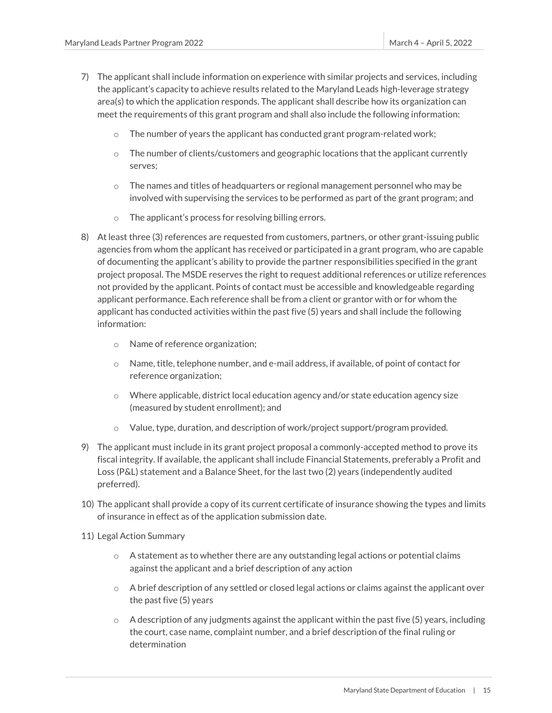- 7) The applicant shall include information on experience with similar projects and services, including the applicant's capacity to achieve results related to the Maryland Leads high-leverage strategy area(s) to which the application responds. The applicant shall describe how its organization can meet the requirements of this grant program and shall also include the following information:
	- o The number of years the applicant has conducted grant program-related work;
	- $\circ$  The number of clients/customers and geographic locations that the applicant currently serves;
	- $\circ$  The names and titles of headquarters or regional management personnel who may be involved with supervising the services to be performed as part of the grant program; and
	- o The applicant's process for resolving billing errors.
- 8) At least three (3) references are requested from customers, partners, or other grant-issuing public agencies from whom the applicant has received or participated in a grant program, who are capable of documenting the applicant's ability to provide the partner responsibilities specified in the grant project proposal. The MSDE reserves the right to request additional references or utilize references not provided by the applicant. Points of contact must be accessible and knowledgeable regarding applicant performance. Each reference shall be from a client or grantor with or for whom the applicant has conducted activities within the past five (5) years and shall include the following information:
	- o Name of reference organization;
	- $\circ$  Name, title, telephone number, and e-mail address, if available, of point of contact for reference organization;
	- $\circ$  Where applicable, district local education agency and/or state education agency size (measured by student enrollment); and
	- $\circ$  Value, type, duration, and description of work/project support/program provided.
- 9) The applicant must include in its grant project proposal a commonly-accepted method to prove its fiscal integrity. If available, the applicant shall include Financial Statements, preferably a Profit and Loss (P&L) statement and a Balance Sheet, for the last two (2) years (independently audited preferred).
- 10) The applicant shall provide a copy of its current certificate of insurance showing the types and limits of insurance in effect as of the application submission date.
- 11) Legal Action Summary
	- $\circ$  A statement as to whether there are any outstanding legal actions or potential claims against the applicant and a brief description of any action
	- $\circ$  A brief description of any settled or closed legal actions or claims against the applicant over the past five (5) years
	- $\circ$  A description of any judgments against the applicant within the past five (5) years, including the court, case name, complaint number, and a brief description of the final ruling or determination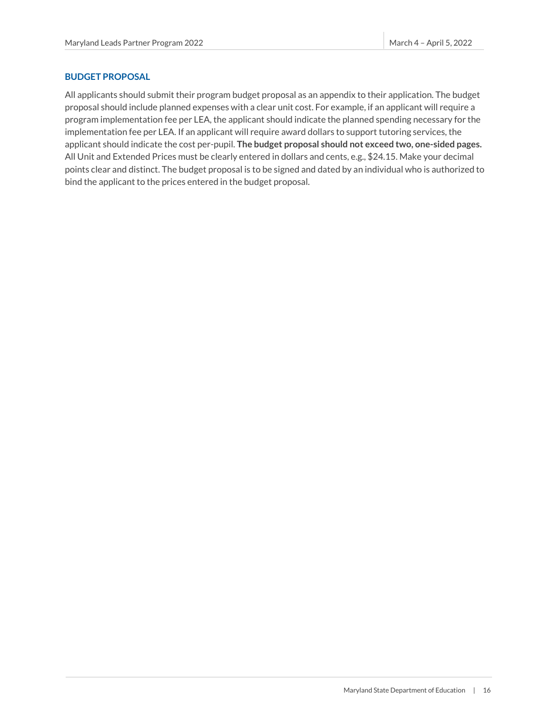#### <span id="page-16-0"></span>**BUDGET PROPOSAL**

All applicants should submit their program budget proposal as an appendix to their application. The budget proposal should include planned expenses with a clear unit cost. For example, if an applicant will require a program implementation fee per LEA, the applicant should indicate the planned spending necessary for the implementation fee per LEA. If an applicant will require award dollars to support tutoring services, the applicant should indicate the cost per-pupil. **The budget proposal should not exceed two, one-sided pages.** All Unit and Extended Prices must be clearly entered in dollars and cents, e.g., \$24.15. Make your decimal points clear and distinct. The budget proposal is to be signed and dated by an individual who is authorized to bind the applicant to the prices entered in the budget proposal.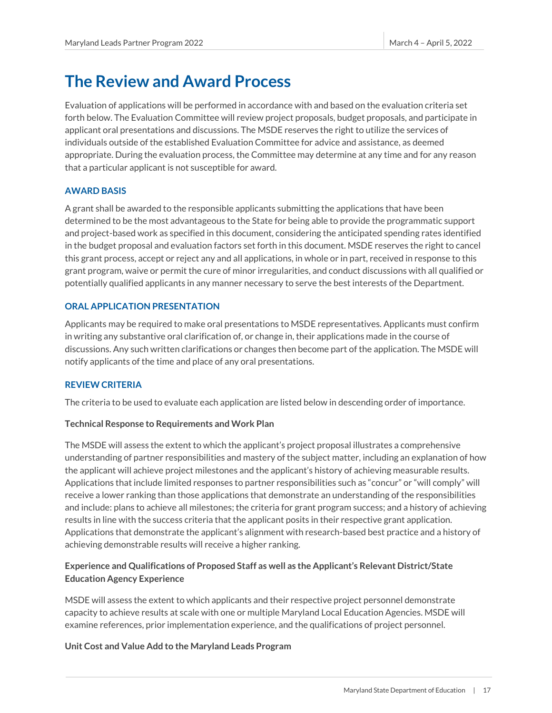## <span id="page-17-0"></span>**The Review and Award Process**

Evaluation of applications will be performed in accordance with and based on the evaluation criteria set forth below. The Evaluation Committee will review project proposals, budget proposals, and participate in applicant oral presentations and discussions. The MSDE reserves the right to utilize the services of individuals outside of the established Evaluation Committee for advice and assistance, as deemed appropriate. During the evaluation process, the Committee may determine at any time and for any reason that a particular applicant is not susceptible for award.

#### <span id="page-17-1"></span>**AWARD BASIS**

A grant shall be awarded to the responsible applicants submitting the applications that have been determined to be the most advantageous to the State for being able to provide the programmatic support and project-based work as specified in this document, considering the anticipated spending rates identified in the budget proposal and evaluation factors set forth in this document. MSDE reserves the right to cancel this grant process, accept or reject any and all applications, in whole or in part, received in response to this grant program, waive or permit the cure of minor irregularities, and conduct discussions with all qualified or potentially qualified applicants in any manner necessary to serve the best interests of the Department.

#### <span id="page-17-2"></span>**ORAL APPLICATION PRESENTATION**

Applicants may be required to make oral presentations to MSDE representatives. Applicants must confirm in writing any substantive oral clarification of, or change in, their applications made in the course of discussions. Any such written clarifications or changes then become part of the application. The MSDE will notify applicants of the time and place of any oral presentations.

#### <span id="page-17-3"></span>**REVIEW CRITERIA**

The criteria to be used to evaluate each application are listed below in descending order of importance.

#### **Technical Response to Requirements and Work Plan**

The MSDE will assess the extent to which the applicant's project proposal illustrates a comprehensive understanding of partner responsibilities and mastery of the subject matter, including an explanation of how the applicant will achieve project milestones and the applicant's history of achieving measurable results. Applications that include limited responses to partner responsibilities such as "concur" or "will comply" will receive a lower ranking than those applications that demonstrate an understanding of the responsibilities and include: plans to achieve all milestones; the criteria for grant program success; and a history of achieving results in line with the success criteria that the applicant posits in their respective grant application. Applications that demonstrate the applicant's alignment with research-based best practice and a history of achieving demonstrable results will receive a higher ranking.

### **Experience and Qualifications of Proposed Staff as well as the Applicant's Relevant District/State Education Agency Experience**

MSDE will assess the extent to which applicants and their respective project personnel demonstrate capacity to achieve results at scale with one or multiple Maryland Local Education Agencies. MSDE will examine references, prior implementation experience, and the qualifications of project personnel.

#### **Unit Cost and Value Add to the Maryland Leads Program**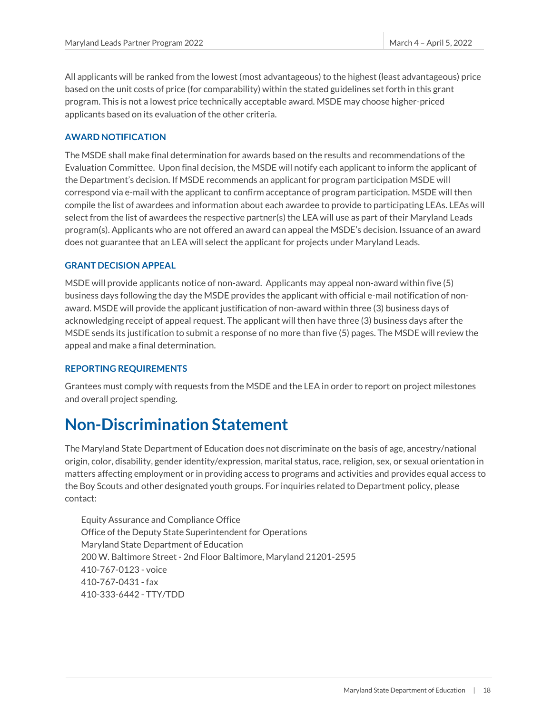All applicants will be ranked from the lowest (most advantageous) to the highest (least advantageous) price based on the unit costs of price (for comparability) within the stated guidelines set forth in this grant program. This is not a lowest price technically acceptable award. MSDE may choose higher-priced applicants based on its evaluation of the other criteria.

#### <span id="page-18-0"></span>**AWARD NOTIFICATION**

The MSDE shall make final determination for awards based on the results and recommendations of the Evaluation Committee. Upon final decision, the MSDE will notify each applicant to inform the applicant of the Department's decision. If MSDE recommends an applicant for program participation MSDE will correspond via e-mail with the applicant to confirm acceptance of program participation. MSDE will then compile the list of awardees and information about each awardee to provide to participating LEAs. LEAs will select from the list of awardees the respective partner(s) the LEA will use as part of their Maryland Leads program(s). Applicants who are not offered an award can appeal the MSDE's decision. Issuance of an award does not guarantee that an LEA will select the applicant for projects under Maryland Leads.

#### <span id="page-18-1"></span>**GRANT DECISION APPEAL**

MSDE will provide applicants notice of non-award. Applicants may appeal non-award within five (5) business days following the day the MSDE provides the applicant with official e-mail notification of nonaward. MSDE will provide the applicant justification of non-award within three (3) business days of acknowledging receipt of appeal request. The applicant will then have three (3) business days after the MSDE sends its justification to submit a response of no more than five (5) pages. The MSDE will review the appeal and make a final determination.

#### <span id="page-18-2"></span>**REPORTING REQUIREMENTS**

Grantees must comply with requests from the MSDE and the LEA in order to report on project milestones and overall project spending.

## <span id="page-18-3"></span>**Non-Discrimination Statement**

The Maryland State Department of Education does not discriminate on the basis of age, ancestry/national origin, color, disability, gender identity/expression, marital status, race, religion, sex, or sexual orientation in matters affecting employment or in providing access to programs and activities and provides equal access to the Boy Scouts and other designated youth groups. For inquiries related to Department policy, please contact:

Equity Assurance and Compliance Office Office of the Deputy State Superintendent for Operations Maryland State Department of Education 200 W. Baltimore Street - 2nd Floor Baltimore, Maryland 21201-2595 410-767-0123 - voice 410-767-0431 - fax 410-333-6442 - TTY/TDD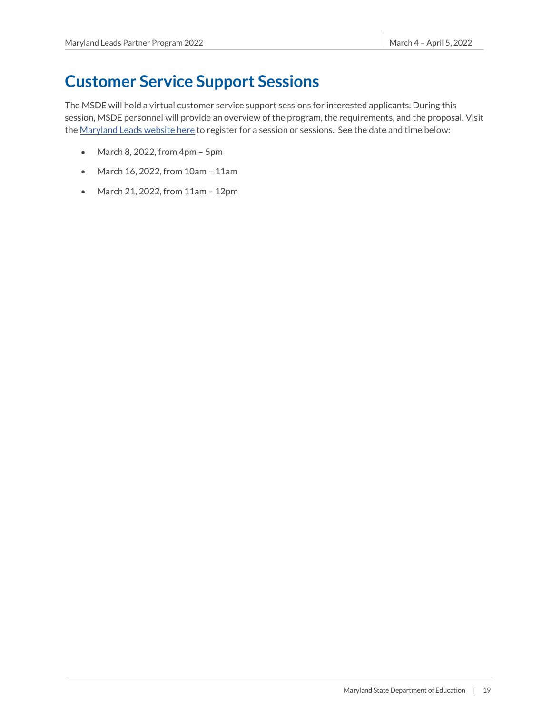## <span id="page-19-0"></span>**Customer Service Support Sessions**

The MSDE will hold a virtual customer service support sessions for interested applicants. During this session, MSDE personnel will provide an overview of the program, the requirements, and the proposal. Visit th[e Maryland Leads website here](https://marylandpublicschools.org/about/Pages/MDLeads/index.aspx) to register for a session or sessions. See the date and time below:

- March 8, 2022, from 4pm 5pm
- March 16, 2022, from 10am 11am
- March 21, 2022, from 11am 12pm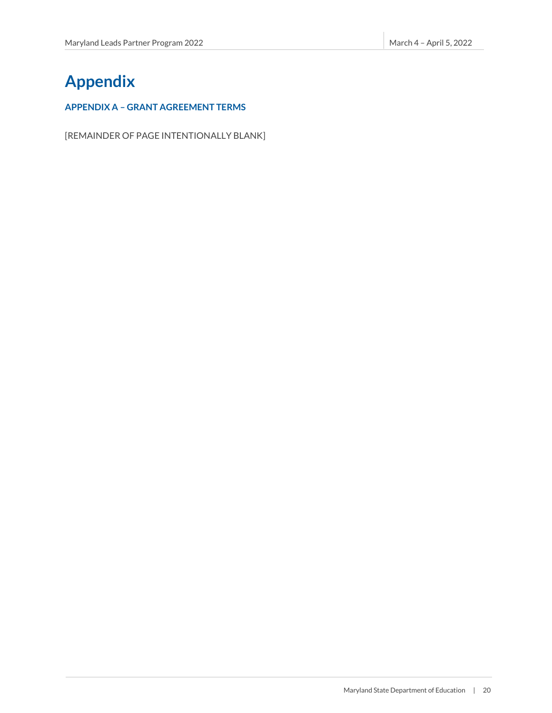## <span id="page-20-0"></span>**Appendix**

#### <span id="page-20-1"></span>**APPENDIX A – GRANT AGREEMENT TERMS**

[REMAINDER OF PAGE INTENTIONALLY BLANK]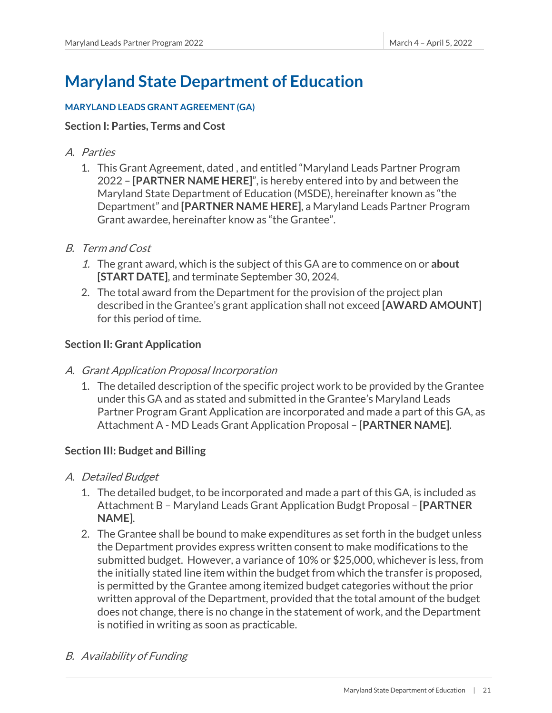## **Maryland State Department of Education**

### **MARYLAND LEADS GRANT AGREEMENT (GA)**

### **Section I: Parties, Terms and Cost**

- A. Parties
	- 1. This Grant Agreement, dated , and entitled "Maryland Leads Partner Program 2022 – **[PARTNER NAME HERE]**", is hereby entered into by and between the Maryland State Department of Education (MSDE), hereinafter known as "the Department" and **[PARTNER NAME HERE]**, a Maryland Leads Partner Program Grant awardee, hereinafter know as "the Grantee".
- B. Term and Cost
	- 1. The grant award, which is the subject of this GA are to commence on or **about [START DATE]**, and terminate September 30, 2024.
	- 2. The total award from the Department for the provision of the project plan described in the Grantee's grant application shall not exceed **[AWARD AMOUNT]** for this period of time.

## **Section II: Grant Application**

## A. Grant Application Proposal Incorporation

1. The detailed description of the specific project work to be provided by the Grantee under this GA and as stated and submitted in the Grantee's Maryland Leads Partner Program Grant Application are incorporated and made a part of this GA, as Attachment A - MD Leads Grant Application Proposal – **[PARTNER NAME]**.

## **Section III: Budget and Billing**

- A. Detailed Budget
	- 1. The detailed budget, to be incorporated and made a part of this GA, is included as Attachment B – Maryland Leads Grant Application Budgt Proposal – **[PARTNER NAME]**.
	- 2. The Grantee shall be bound to make expenditures as set forth in the budget unless the Department provides express written consent to make modifications to the submitted budget. However, a variance of 10% or \$25,000, whichever is less, from the initially stated line item within the budget from which the transfer is proposed, is permitted by the Grantee among itemized budget categories without the prior written approval of the Department, provided that the total amount of the budget does not change, there is no change in the statement of work, and the Department is notified in writing as soon as practicable.

## B. Availability of Funding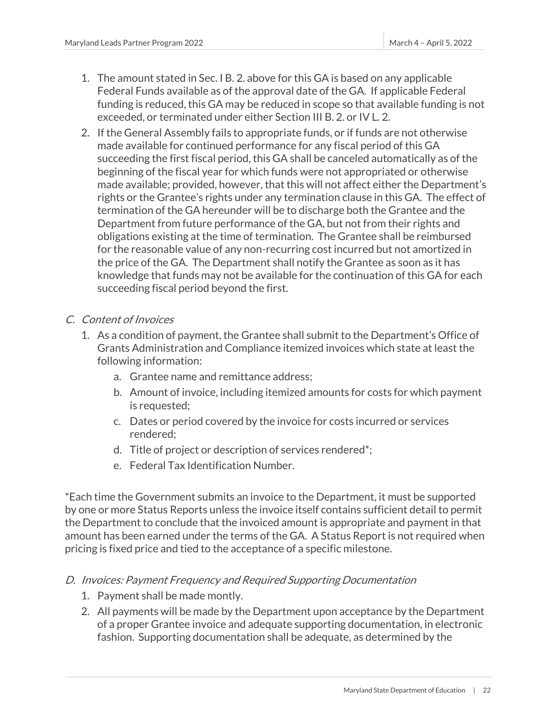- 1. The amount stated in Sec. I B. 2. above for this GA is based on any applicable Federal Funds available as of the approval date of the GA. If applicable Federal funding is reduced, this GA may be reduced in scope so that available funding is not exceeded, or terminated under either Section III B. 2. or IV L. 2.
- 2. If the General Assembly fails to appropriate funds, or if funds are not otherwise made available for continued performance for any fiscal period of this GA succeeding the first fiscal period, this GA shall be canceled automatically as of the beginning of the fiscal year for which funds were not appropriated or otherwise made available; provided, however, that this will not affect either the Department's rights or the Grantee's rights under any termination clause in this GA. The effect of termination of the GA hereunder will be to discharge both the Grantee and the Department from future performance of the GA, but not from their rights and obligations existing at the time of termination. The Grantee shall be reimbursed for the reasonable value of any non-recurring cost incurred but not amortized in the price of the GA. The Department shall notify the Grantee as soon as it has knowledge that funds may not be available for the continuation of this GA for each succeeding fiscal period beyond the first.

## C. Content of Invoices

- 1. As a condition of payment, the Grantee shall submit to the Department's Office of Grants Administration and Compliance itemized invoices which state at least the following information:
	- a. Grantee name and remittance address;
	- b. Amount of invoice, including itemized amounts for costs for which payment is requested;
	- c. Dates or period covered by the invoice for costs incurred or services rendered;
	- d. Title of project or description of services rendered\*;
	- e. Federal Tax Identification Number.

\*Each time the Government submits an invoice to the Department, it must be supported by one or more Status Reports unless the invoice itself contains sufficient detail to permit the Department to conclude that the invoiced amount is appropriate and payment in that amount has been earned under the terms of the GA. A Status Report is not required when pricing is fixed price and tied to the acceptance of a specific milestone.

## D. Invoices: Payment Frequency and Required Supporting Documentation

- 1. Payment shall be made montly.
- 2. All payments will be made by the Department upon acceptance by the Department of a proper Grantee invoice and adequate supporting documentation, in electronic fashion. Supporting documentation shall be adequate, as determined by the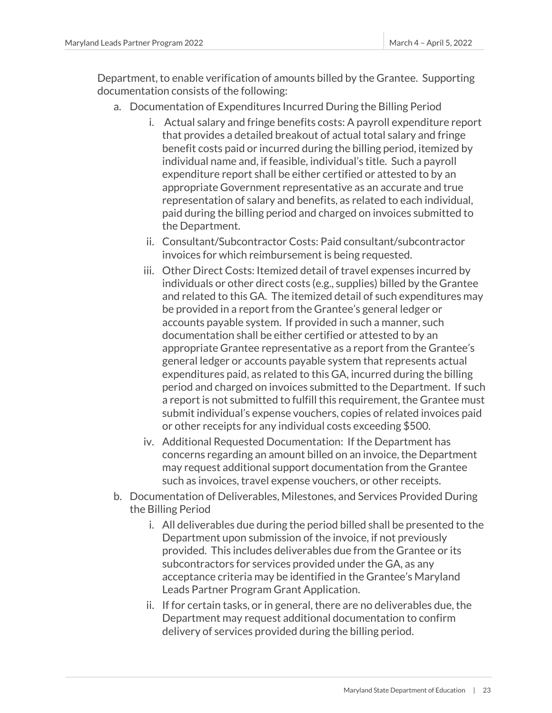Department, to enable verification of amounts billed by the Grantee. Supporting documentation consists of the following:

- a. Documentation of Expenditures Incurred During the Billing Period
	- i. Actual salary and fringe benefits costs: A payroll expenditure report that provides a detailed breakout of actual total salary and fringe benefit costs paid or incurred during the billing period, itemized by individual name and, if feasible, individual's title. Such a payroll expenditure report shall be either certified or attested to by an appropriate Government representative as an accurate and true representation of salary and benefits, as related to each individual, paid during the billing period and charged on invoices submitted to the Department.
	- ii. Consultant/Subcontractor Costs: Paid consultant/subcontractor invoices for which reimbursement is being requested.
	- iii. Other Direct Costs: Itemized detail of travel expenses incurred by individuals or other direct costs (e.g., supplies) billed by the Grantee and related to this GA. The itemized detail of such expenditures may be provided in a report from the Grantee's general ledger or accounts payable system. If provided in such a manner, such documentation shall be either certified or attested to by an appropriate Grantee representative as a report from the Grantee's general ledger or accounts payable system that represents actual expenditures paid, as related to this GA, incurred during the billing period and charged on invoices submitted to the Department. If such a report is not submitted to fulfill this requirement, the Grantee must submit individual's expense vouchers, copies of related invoices paid or other receipts for any individual costs exceeding \$500.
	- iv. Additional Requested Documentation: If the Department has concerns regarding an amount billed on an invoice, the Department may request additional support documentation from the Grantee such as invoices, travel expense vouchers, or other receipts.
- b. Documentation of Deliverables, Milestones, and Services Provided During the Billing Period
	- i. All deliverables due during the period billed shall be presented to the Department upon submission of the invoice, if not previously provided. This includes deliverables due from the Grantee or its subcontractors for services provided under the GA, as any acceptance criteria may be identified in the Grantee's Maryland Leads Partner Program Grant Application.
	- ii. If for certain tasks, or in general, there are no deliverables due, the Department may request additional documentation to confirm delivery of services provided during the billing period.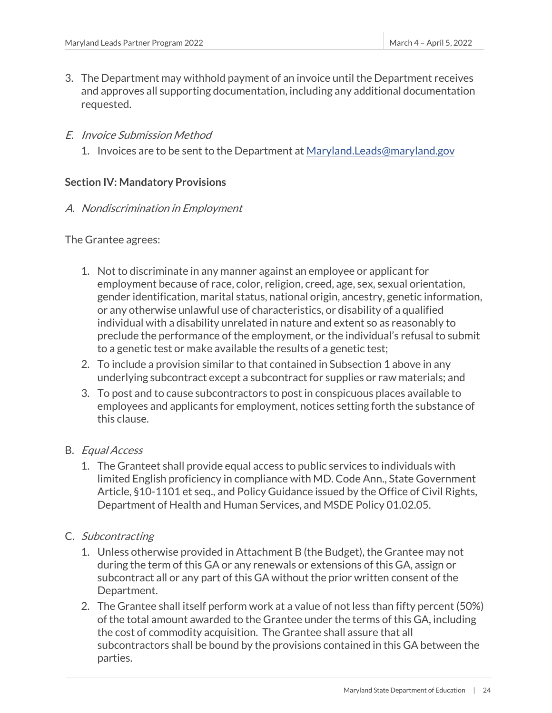- 3. The Department may withhold payment of an invoice until the Department receives and approves all supporting documentation, including any additional documentation requested.
- E. Invoice Submission Method
	- 1. Invoices are to be sent to the Department at [Maryland.Leads@maryland.gov](mailto:Maryland.Leads@maryland.gov)

### **Section IV: Mandatory Provisions**

### A. Nondiscrimination in Employment

The Grantee agrees:

- 1. Not to discriminate in any manner against an employee or applicant for employment because of race, color, religion, creed, age, sex, sexual orientation, gender identification, marital status, national origin, ancestry, genetic information, or any otherwise unlawful use of characteristics, or disability of a qualified individual with a disability unrelated in nature and extent so as reasonably to preclude the performance of the employment, or the individual's refusal to submit to a genetic test or make available the results of a genetic test;
- 2. To include a provision similar to that contained in Subsection 1 above in any underlying subcontract except a subcontract for supplies or raw materials; and
- 3. To post and to cause subcontractors to post in conspicuous places available to employees and applicants for employment, notices setting forth the substance of this clause.

## B. Equal Access

- 1. The Granteet shall provide equal access to public services to individuals with limited English proficiency in compliance with MD. Code Ann., State Government Article, §10-1101 et seq., and Policy Guidance issued by the Office of Civil Rights, Department of Health and Human Services, and MSDE Policy 01.02.05.
- C. Subcontracting
	- 1. Unless otherwise provided in Attachment B (the Budget), the Grantee may not during the term of this GA or any renewals or extensions of this GA, assign or subcontract all or any part of this GA without the prior written consent of the Department.
	- 2. The Grantee shall itself perform work at a value of not less than fifty percent (50%) of the total amount awarded to the Grantee under the terms of this GA, including the cost of commodity acquisition. The Grantee shall assure that all subcontractors shall be bound by the provisions contained in this GA between the parties.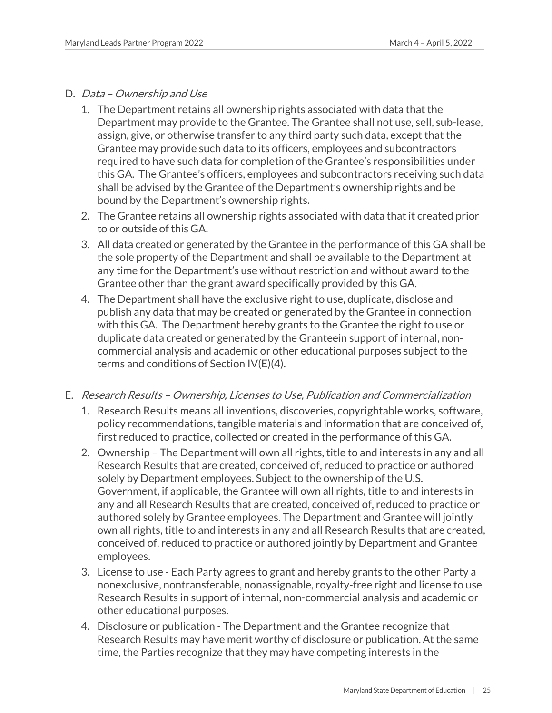### D. Data – Ownership and Use

- 1. The Department retains all ownership rights associated with data that the Department may provide to the Grantee. The Grantee shall not use, sell, sub-lease, assign, give, or otherwise transfer to any third party such data, except that the Grantee may provide such data to its officers, employees and subcontractors required to have such data for completion of the Grantee's responsibilities under this GA. The Grantee's officers, employees and subcontractors receiving such data shall be advised by the Grantee of the Department's ownership rights and be bound by the Department's ownership rights.
- 2. The Grantee retains all ownership rights associated with data that it created prior to or outside of this GA.
- 3. All data created or generated by the Grantee in the performance of this GA shall be the sole property of the Department and shall be available to the Department at any time for the Department's use without restriction and without award to the Grantee other than the grant award specifically provided by this GA.
- 4. The Department shall have the exclusive right to use, duplicate, disclose and publish any data that may be created or generated by the Grantee in connection with this GA. The Department hereby grants to the Grantee the right to use or duplicate data created or generated by the Granteein support of internal, noncommercial analysis and academic or other educational purposes subject to the terms and conditions of Section IV(E)(4).

## E. Research Results – Ownership, Licenses to Use, Publication and Commercialization

- 1. Research Results means all inventions, discoveries, copyrightable works, software, policy recommendations, tangible materials and information that are conceived of, first reduced to practice, collected or created in the performance of this GA.
- 2. Ownership The Department will own all rights, title to and interests in any and all Research Results that are created, conceived of, reduced to practice or authored solely by Department employees. Subject to the ownership of the U.S. Government, if applicable, the Grantee will own all rights, title to and interests in any and all Research Results that are created, conceived of, reduced to practice or authored solely by Grantee employees. The Department and Grantee will jointly own all rights, title to and interests in any and all Research Results that are created, conceived of, reduced to practice or authored jointly by Department and Grantee employees.
- 3. License to use Each Party agrees to grant and hereby grants to the other Party a nonexclusive, nontransferable, nonassignable, royalty-free right and license to use Research Results in support of internal, non-commercial analysis and academic or other educational purposes.
- 4. Disclosure or publication The Department and the Grantee recognize that Research Results may have merit worthy of disclosure or publication. At the same time, the Parties recognize that they may have competing interests in the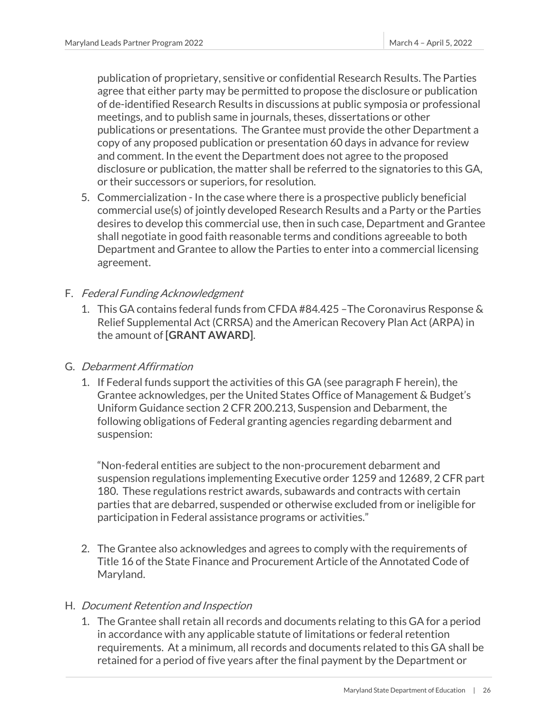publication of proprietary, sensitive or confidential Research Results. The Parties agree that either party may be permitted to propose the disclosure or publication of de-identified Research Results in discussions at public symposia or professional meetings, and to publish same in journals, theses, dissertations or other publications or presentations. The Grantee must provide the other Department a copy of any proposed publication or presentation 60 days in advance for review and comment. In the event the Department does not agree to the proposed disclosure or publication, the matter shall be referred to the signatories to this GA, or their successors or superiors, for resolution.

5. Commercialization - In the case where there is a prospective publicly beneficial commercial use(s) of jointly developed Research Results and a Party or the Parties desires to develop this commercial use, then in such case, Department and Grantee shall negotiate in good faith reasonable terms and conditions agreeable to both Department and Grantee to allow the Parties to enter into a commercial licensing agreement.

## F. Federal Funding Acknowledgment

1. This GA contains federal funds from CFDA #84.425 –The Coronavirus Response & Relief Supplemental Act (CRRSA) and the American Recovery Plan Act (ARPA) in the amount of **[GRANT AWARD]**.

## G. Debarment Affirmation

1. If Federal funds support the activities of this GA (see paragraph F herein), the Grantee acknowledges, per the United States Office of Management & Budget's Uniform Guidance section 2 CFR 200.213, Suspension and Debarment, the following obligations of Federal granting agencies regarding debarment and suspension:

"Non-federal entities are subject to the non-procurement debarment and suspension regulations implementing Executive order 1259 and 12689, 2 CFR part 180. These regulations restrict awards, subawards and contracts with certain parties that are debarred, suspended or otherwise excluded from or ineligible for participation in Federal assistance programs or activities."

2. The Grantee also acknowledges and agrees to comply with the requirements of Title 16 of the State Finance and Procurement Article of the Annotated Code of Maryland.

## H. Document Retention and Inspection

1. The Grantee shall retain all records and documents relating to this GA for a period in accordance with any applicable statute of limitations or federal retention requirements. At a minimum, all records and documents related to this GA shall be retained for a period of five years after the final payment by the Department or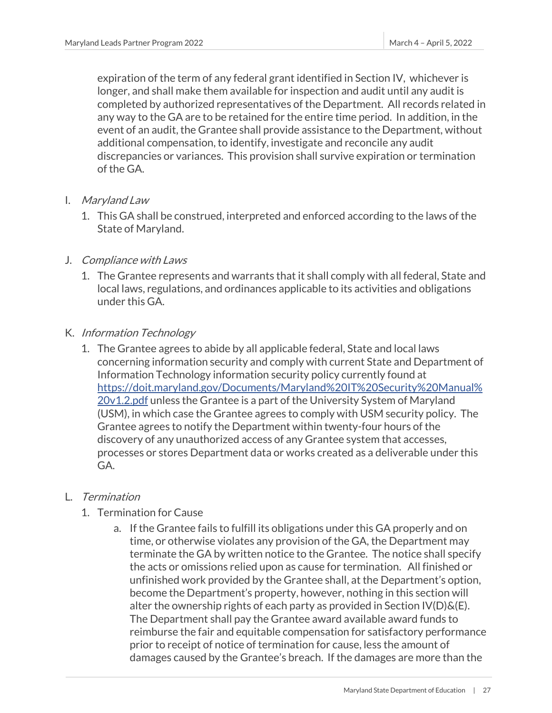expiration of the term of any federal grant identified in Section IV, whichever is longer, and shall make them available for inspection and audit until any audit is completed by authorized representatives of the Department. All records related in any way to the GA are to be retained for the entire time period. In addition, in the event of an audit, the Grantee shall provide assistance to the Department, without additional compensation, to identify, investigate and reconcile any audit discrepancies or variances. This provision shall survive expiration or termination of the GA.

- I. Maryland Law
	- 1. This GA shall be construed, interpreted and enforced according to the laws of the State of Maryland.
- J. Compliance with Laws
	- 1. The Grantee represents and warrants that it shall comply with all federal, State and local laws, regulations, and ordinances applicable to its activities and obligations under this GA.
- K. Information Technology
	- 1. The Grantee agrees to abide by all applicable federal, State and local laws concerning information security and comply with current State and Department of Information Technology information security policy currently found at [https://doit.maryland.gov/Documents/Maryland%20IT%20Security%20Manual%](https://doit.maryland.gov/Documents/Maryland%20IT%20Security%20Manual%20v1.2.pdf) [20v1.2.pdf](https://doit.maryland.gov/Documents/Maryland%20IT%20Security%20Manual%20v1.2.pdf) unless the Grantee is a part of the University System of Maryland (USM), in which case the Grantee agrees to comply with USM security policy. The Grantee agrees to notify the Department within twenty-four hours of the discovery of any unauthorized access of any Grantee system that accesses, processes or stores Department data or works created as a deliverable under this GA.

## L. Termination

- 1. Termination for Cause
	- a. If the Grantee fails to fulfill its obligations under this GA properly and on time, or otherwise violates any provision of the GA, the Department may terminate the GA by written notice to the Grantee. The notice shall specify the acts or omissions relied upon as cause for termination. All finished or unfinished work provided by the Grantee shall, at the Department's option, become the Department's property, however, nothing in this section will alter the ownership rights of each party as provided in Section  $\mathsf{IV}(D)\&(E)$ . The Department shall pay the Grantee award available award funds to reimburse the fair and equitable compensation for satisfactory performance prior to receipt of notice of termination for cause, less the amount of damages caused by the Grantee's breach. If the damages are more than the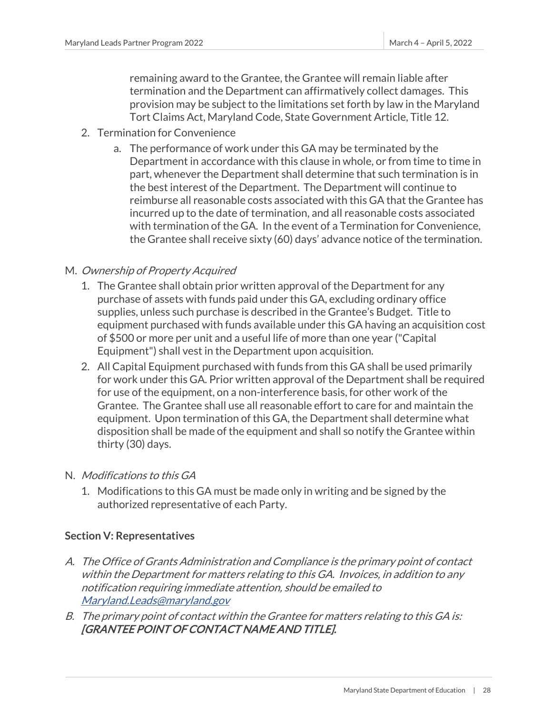remaining award to the Grantee, the Grantee will remain liable after termination and the Department can affirmatively collect damages. This provision may be subject to the limitations set forth by law in the Maryland Tort Claims Act, Maryland Code, State Government Article, Title 12.

- 2. Termination for Convenience
	- a. The performance of work under this GA may be terminated by the Department in accordance with this clause in whole, or from time to time in part, whenever the Department shall determine that such termination is in the best interest of the Department. The Department will continue to reimburse all reasonable costs associated with this GA that the Grantee has incurred up to the date of termination, and all reasonable costs associated with termination of the GA. In the event of a Termination for Convenience, the Grantee shall receive sixty (60) days' advance notice of the termination.

## M. Ownership of Property Acquired

- 1. The Grantee shall obtain prior written approval of the Department for any purchase of assets with funds paid under this GA, excluding ordinary office supplies, unless such purchase is described in the Grantee's Budget. Title to equipment purchased with funds available under this GA having an acquisition cost of \$500 or more per unit and a useful life of more than one year ("Capital Equipment") shall vest in the Department upon acquisition.
- 2. All Capital Equipment purchased with funds from this GA shall be used primarily for work under this GA. Prior written approval of the Department shall be required for use of the equipment, on a non-interference basis, for other work of the Grantee. The Grantee shall use all reasonable effort to care for and maintain the equipment. Upon termination of this GA, the Department shall determine what disposition shall be made of the equipment and shall so notify the Grantee within thirty (30) days.
- N. Modifications to this GA
	- 1. Modifications to this GA must be made only in writing and be signed by the authorized representative of each Party.

## **Section V: Representatives**

- A. The Office of Grants Administration and Compliance is the primary point of contact within the Department for matters relating to this GA. Invoices, in addition to any notification requiring immediate attention, should be emailed to [Maryland.Leads@maryland.gov](mailto:Maryland.Leads@maryland.gov)
- B. The primary point of contact within the Grantee for matters relating to this GA is: [GRANTEE POINT OF CONTACT NAME AND TITLE].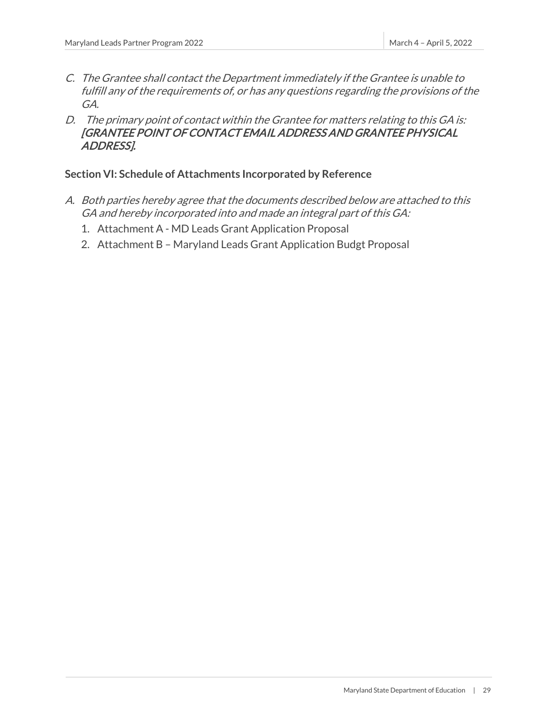- C. The Grantee shall contact the Department immediately if the Grantee is unable to fulfill any of the requirements of, or has any questions regarding the provisions of the GA.
- D. The primary point of contact within the Grantee for matters relating to this GA is: [GRANTEE POINT OF CONTACT EMAIL ADDRESS AND GRANTEE PHYSICAL ADDRESS].

### **Section VI: Schedule of Attachments Incorporated by Reference**

- A. Both parties hereby agree that the documents described below are attached to this GA and hereby incorporated into and made an integral part of this GA:
	- 1. Attachment A MD Leads Grant Application Proposal
	- 2. Attachment B Maryland Leads Grant Application Budgt Proposal